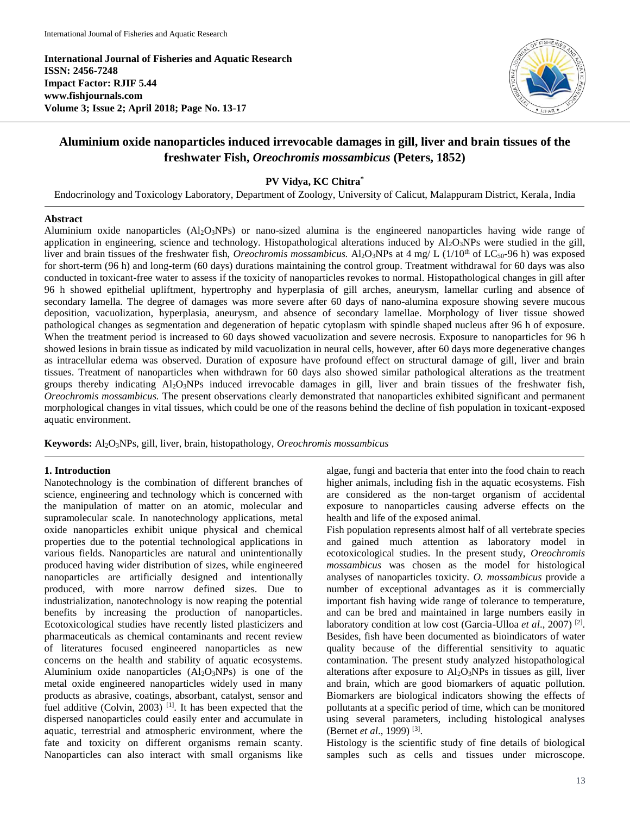**International Journal of Fisheries and Aquatic Research ISSN: 2456-7248 Impact Factor: RJIF 5.44 www.fishjournals.com Volume 3; Issue 2; April 2018; Page No. 13-17**



# **Aluminium oxide nanoparticles induced irrevocable damages in gill, liver and brain tissues of the freshwater Fish,** *Oreochromis mossambicus* **(Peters, 1852)**

## **PV Vidya, KC Chitra\***

Endocrinology and Toxicology Laboratory, Department of Zoology, University of Calicut, Malappuram District, Kerala, India

## **Abstract**

Aluminium oxide nanoparticles (Al2O3NPs) or nano-sized alumina is the engineered nanoparticles having wide range of application in engineering, science and technology. Histopathological alterations induced by  $A1_2O_3NPs$  were studied in the gill, liver and brain tissues of the freshwater fish, *Oreochromis mossambicus*. Al<sub>2</sub>O<sub>3</sub>NPs at 4 mg/ L (1/10<sup>th</sup> of LC<sub>50</sub>-96 h) was exposed for short-term (96 h) and long-term (60 days) durations maintaining the control group. Treatment withdrawal for 60 days was also conducted in toxicant-free water to assess if the toxicity of nanoparticles revokes to normal. Histopathological changes in gill after 96 h showed epithelial upliftment, hypertrophy and hyperplasia of gill arches, aneurysm, lamellar curling and absence of secondary lamella. The degree of damages was more severe after 60 days of nano-alumina exposure showing severe mucous deposition, vacuolization, hyperplasia, aneurysm, and absence of secondary lamellae. Morphology of liver tissue showed pathological changes as segmentation and degeneration of hepatic cytoplasm with spindle shaped nucleus after 96 h of exposure. When the treatment period is increased to 60 days showed vacuolization and severe necrosis. Exposure to nanoparticles for 96 h showed lesions in brain tissue as indicated by mild vacuolization in neural cells, however, after 60 days more degenerative changes as intracellular edema was observed. Duration of exposure have profound effect on structural damage of gill, liver and brain tissues. Treatment of nanoparticles when withdrawn for 60 days also showed similar pathological alterations as the treatment groups thereby indicating Al<sub>2</sub>O<sub>3</sub>NPs induced irrevocable damages in gill, liver and brain tissues of the freshwater fish, *Oreochromis mossambicus.* The present observations clearly demonstrated that nanoparticles exhibited significant and permanent morphological changes in vital tissues, which could be one of the reasons behind the decline of fish population in toxicant-exposed aquatic environment.

**Keywords:** Al2O3NPs, gill, liver, brain, histopathology, *Oreochromis mossambicus*

## **1. Introduction**

Nanotechnology is the combination of different branches of science, engineering and technology which is concerned with the manipulation of matter on an atomic, molecular and supramolecular scale. In nanotechnology applications, metal oxide nanoparticles exhibit unique physical and chemical properties due to the potential technological applications in various fields. Nanoparticles are natural and unintentionally produced having wider distribution of sizes, while engineered nanoparticles are artificially designed and intentionally produced, with more narrow defined sizes. Due to industrialization, nanotechnology is now reaping the potential benefits by increasing the production of nanoparticles. Ecotoxicological studies have recently listed plasticizers and pharmaceuticals as chemical contaminants and recent review of literatures focused engineered nanoparticles as new concerns on the health and stability of aquatic ecosystems. Aluminium oxide nanoparticles  $(A1<sub>2</sub>O<sub>3</sub>NPs)$  is one of the metal oxide engineered nanoparticles widely used in many products as abrasive, coatings, absorbant, catalyst, sensor and fuel additive (Colvin, 2003)<sup>[1]</sup>. It has been expected that the dispersed nanoparticles could easily enter and accumulate in aquatic, terrestrial and atmospheric environment, where the fate and toxicity on different organisms remain scanty. Nanoparticles can also interact with small organisms like

algae, fungi and bacteria that enter into the food chain to reach higher animals, including fish in the aquatic ecosystems. Fish are considered as the non-target organism of accidental exposure to nanoparticles causing adverse effects on the health and life of the exposed animal.

Fish population represents almost half of all vertebrate species and gained much attention as laboratory model in ecotoxicological studies. In the present study, *Oreochromis mossambicus* was chosen as the model for histological analyses of nanoparticles toxicity. *O. mossambicus* provide a number of exceptional advantages as it is commercially important fish having wide range of tolerance to temperature, and can be bred and maintained in large numbers easily in laboratory condition at low cost (Garcia-Ulloa et al., 2007)<sup>[2]</sup>. Besides, fish have been documented as bioindicators of water quality because of the differential sensitivity to aquatic contamination. The present study analyzed histopathological alterations after exposure to  $A1_2O_3NPs$  in tissues as gill, liver and brain, which are good biomarkers of aquatic pollution. Biomarkers are biological indicators showing the effects of pollutants at a specific period of time, which can be monitored using several parameters, including histological analyses (Bernet *et al*., 1999) [3] .

Histology is the scientific study of fine details of biological samples such as cells and tissues under microscope.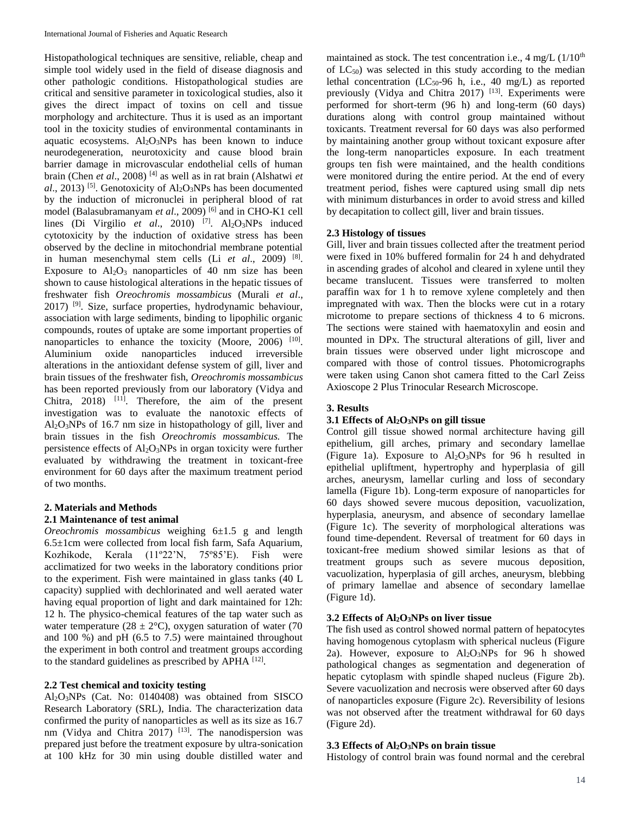Histopathological techniques are sensitive, reliable, cheap and simple tool widely used in the field of disease diagnosis and other pathologic conditions. Histopathological studies are critical and sensitive parameter in toxicological studies, also it gives the direct impact of toxins on cell and tissue morphology and architecture. Thus it is used as an important tool in the toxicity studies of environmental contaminants in aquatic ecosystems.  $Al_2O_3NPs$  has been known to induce neurodegeneration, neurotoxicity and cause blood brain barrier damage in microvascular endothelial cells of human brain (Chen *et al*., 2008) [4] as well as in rat brain (Alshatwi *et*   $a$ l., 2013) <sup>[5]</sup>. Genotoxicity of  $Al_2O_3NPs$  has been documented by the induction of micronuclei in peripheral blood of rat model (Balasubramanyam *et al*., 2009) [6] and in CHO-K1 cell lines (Di Virgilio et al., 2010) <sup>[7]</sup>. Al<sub>2</sub>O<sub>3</sub>NPs induced cytotoxicity by the induction of oxidative stress has been observed by the decline in mitochondrial membrane potential in human mesenchymal stem cells (Li *et al.*, 2009)<sup>[8]</sup>. Exposure to  $Al_2O_3$  nanoparticles of 40 nm size has been shown to cause histological alterations in the hepatic tissues of freshwater fish *Oreochromis mossambicus* (Murali *et al*., 2017) [9]. Size, surface properties, hydrodynamic behaviour, association with large sediments, binding to lipophilic organic compounds, routes of uptake are some important properties of nanoparticles to enhance the toxicity (Moore, 2006)  $[10]$ . Aluminium oxide nanoparticles induced irreversible alterations in the antioxidant defense system of gill, liver and brain tissues of the freshwater fish, *Oreochromis mossambicus*  has been reported previously from our laboratory (Vidya and Chitra, 2018) [11]. Therefore, the aim of the present investigation was to evaluate the nanotoxic effects of Al2O3NPs of 16.7 nm size in histopathology of gill, liver and brain tissues in the fish *Oreochromis mossambicus.* The persistence effects of  $Al_2O_3NPs$  in organ toxicity were further evaluated by withdrawing the treatment in toxicant-free environment for 60 days after the maximum treatment period of two months.

## **2. Materials and Methods**

# **2.1 Maintenance of test animal**

*Oreochromis mossambicus* weighing 6±1.5 g and length 6.5±1cm were collected from local fish farm, Safa Aquarium, Kozhikode, Kerala (11º22'N, 75º85'E). Fish were acclimatized for two weeks in the laboratory conditions prior to the experiment. Fish were maintained in glass tanks (40 L capacity) supplied with dechlorinated and well aerated water having equal proportion of light and dark maintained for 12h: 12 h. The physico-chemical features of the tap water such as water temperature (28  $\pm$  2°C), oxygen saturation of water (70 and 100 %) and pH (6.5 to 7.5) were maintained throughout the experiment in both control and treatment groups according to the standard guidelines as prescribed by APHA [12].

# **2.2 Test chemical and toxicity testing**

Al2O3NPs (Cat. No: 0140408) was obtained from SISCO Research Laboratory (SRL), India. The characterization data confirmed the purity of nanoparticles as well as its size as 16.7 nm (Vidya and Chitra 2017) <sup>[13]</sup>. The nanodispersion was prepared just before the treatment exposure by ultra-sonication at 100 kHz for 30 min using double distilled water and

maintained as stock. The test concentration i.e.,  $4 \text{ mg/L } (1/10^{\text{th}}$ of  $LC_{50}$ ) was selected in this study according to the median lethal concentration ( $LC_{50}$ -96 h, i.e., 40 mg/L) as reported previously (Vidya and Chitra 2017) [13]. Experiments were performed for short-term (96 h) and long-term (60 days) durations along with control group maintained without toxicants. Treatment reversal for 60 days was also performed by maintaining another group without toxicant exposure after the long-term nanoparticles exposure. In each treatment groups ten fish were maintained, and the health conditions were monitored during the entire period. At the end of every treatment period, fishes were captured using small dip nets with minimum disturbances in order to avoid stress and killed by decapitation to collect gill, liver and brain tissues.

## **2.3 Histology of tissues**

Gill, liver and brain tissues collected after the treatment period were fixed in 10% buffered formalin for 24 h and dehydrated in ascending grades of alcohol and cleared in xylene until they became translucent. Tissues were transferred to molten paraffin wax for 1 h to remove xylene completely and then impregnated with wax. Then the blocks were cut in a rotary microtome to prepare sections of thickness 4 to 6 microns. The sections were stained with haematoxylin and eosin and mounted in DPx. The structural alterations of gill, liver and brain tissues were observed under light microscope and compared with those of control tissues. Photomicrographs were taken using Canon shot camera fitted to the Carl Zeiss Axioscope 2 Plus Trinocular Research Microscope.

## **3. Results**

## **3.1 Effects of Al2O3NPs on gill tissue**

Control gill tissue showed normal architecture having gill epithelium, gill arches, primary and secondary lamellae (Figure 1a). Exposure to  $Al_2O_3NPs$  for 96 h resulted in epithelial upliftment, hypertrophy and hyperplasia of gill arches, aneurysm, lamellar curling and loss of secondary lamella (Figure 1b). Long-term exposure of nanoparticles for 60 days showed severe mucous deposition, vacuolization, hyperplasia, aneurysm, and absence of secondary lamellae (Figure 1c). The severity of morphological alterations was found time-dependent. Reversal of treatment for 60 days in toxicant-free medium showed similar lesions as that of treatment groups such as severe mucous deposition, vacuolization, hyperplasia of gill arches, aneurysm, blebbing of primary lamellae and absence of secondary lamellae (Figure 1d).

## **3.2 Effects of Al2O3NPs on liver tissue**

The fish used as control showed normal pattern of hepatocytes having homogenous cytoplasm with spherical nucleus (Figure 2a). However, exposure to  $Al_2O_3NPs$  for 96 h showed pathological changes as segmentation and degeneration of hepatic cytoplasm with spindle shaped nucleus (Figure 2b). Severe vacuolization and necrosis were observed after 60 days of nanoparticles exposure (Figure 2c). Reversibility of lesions was not observed after the treatment withdrawal for 60 days (Figure 2d).

## **3.3 Effects of Al2O3NPs on brain tissue**

Histology of control brain was found normal and the cerebral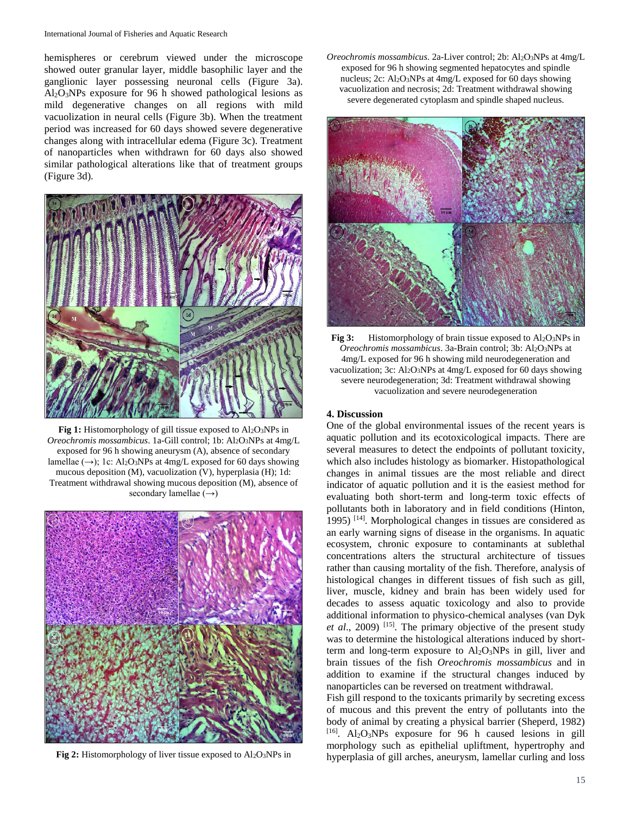hemispheres or cerebrum viewed under the microscope showed outer granular layer, middle basophilic layer and the ganglionic layer possessing neuronal cells (Figure 3a). Al2O3NPs exposure for 96 h showed pathological lesions as mild degenerative changes on all regions with mild vacuolization in neural cells (Figure 3b). When the treatment period was increased for 60 days showed severe degenerative changes along with intracellular edema (Figure 3c). Treatment of nanoparticles when withdrawn for 60 days also showed similar pathological alterations like that of treatment groups (Figure 3d)*.*



Fig 1: Histomorphology of gill tissue exposed to Al<sub>2</sub>O<sub>3</sub>NPs in *Oreochromis mossambicus.* 1a-Gill control; 1b: Al<sub>2</sub>O<sub>3</sub>NPs at 4mg/L exposed for 96 h showing aneurysm (A), absence of secondary lamellae  $(\rightarrow)$ ; 1c: Al<sub>2</sub>O<sub>3</sub>NPs at 4mg/L exposed for 60 days showing mucous deposition (M), vacuolization (V), hyperplasia (H); 1d: Treatment withdrawal showing mucous deposition (M), absence of secondary lamellae  $(\rightarrow)$ 



**Fig 2:** Histomorphology of liver tissue exposed to Al<sub>2</sub>O<sub>3</sub>NPs in

*Oreochromis mossambicus*. 2a-Liver control; 2b: Al2O3NPs at 4mg/L exposed for 96 h showing segmented hepatocytes and spindle nucleus; 2c: Al2O3NPs at 4mg/L exposed for 60 days showing vacuolization and necrosis; 2d: Treatment withdrawal showing severe degenerated cytoplasm and spindle shaped nucleus.



**Fig 3:** Histomorphology of brain tissue exposed to Al<sub>2</sub>O<sub>3</sub>NPs in *Oreochromis mossambicus*. 3a-Brain control; 3b: Al2O3NPs at 4mg/L exposed for 96 h showing mild neurodegeneration and vacuolization; 3c: Al2O3NPs at 4mg/L exposed for 60 days showing severe neurodegeneration; 3d: Treatment withdrawal showing vacuolization and severe neurodegeneration

## **4. Discussion**

One of the global environmental issues of the recent years is aquatic pollution and its ecotoxicological impacts. There are several measures to detect the endpoints of pollutant toxicity, which also includes histology as biomarker. Histopathological changes in animal tissues are the most reliable and direct indicator of aquatic pollution and it is the easiest method for evaluating both short-term and long-term toxic effects of pollutants both in laboratory and in field conditions (Hinton, 1995) [14]. Morphological changes in tissues are considered as an early warning signs of disease in the organisms. In aquatic ecosystem, chronic exposure to contaminants at sublethal concentrations alters the structural architecture of tissues rather than causing mortality of the fish. Therefore, analysis of histological changes in different tissues of fish such as gill, liver, muscle, kidney and brain has been widely used for decades to assess aquatic toxicology and also to provide additional information to physico-chemical analyses (van Dyk *et al*., 2009) [15]. The primary objective of the present study was to determine the histological alterations induced by shortterm and long-term exposure to  $Al_2O_3NPs$  in gill, liver and brain tissues of the fish *Oreochromis mossambicus* and in addition to examine if the structural changes induced by nanoparticles can be reversed on treatment withdrawal.

Fish gill respond to the toxicants primarily by secreting excess of mucous and this prevent the entry of pollutants into the body of animal by creating a physical barrier (Sheperd, 1982)  $[16]$ . Al<sub>2</sub>O<sub>3</sub>NPs exposure for 96 h caused lesions in gill morphology such as epithelial upliftment, hypertrophy and hyperplasia of gill arches, aneurysm, lamellar curling and loss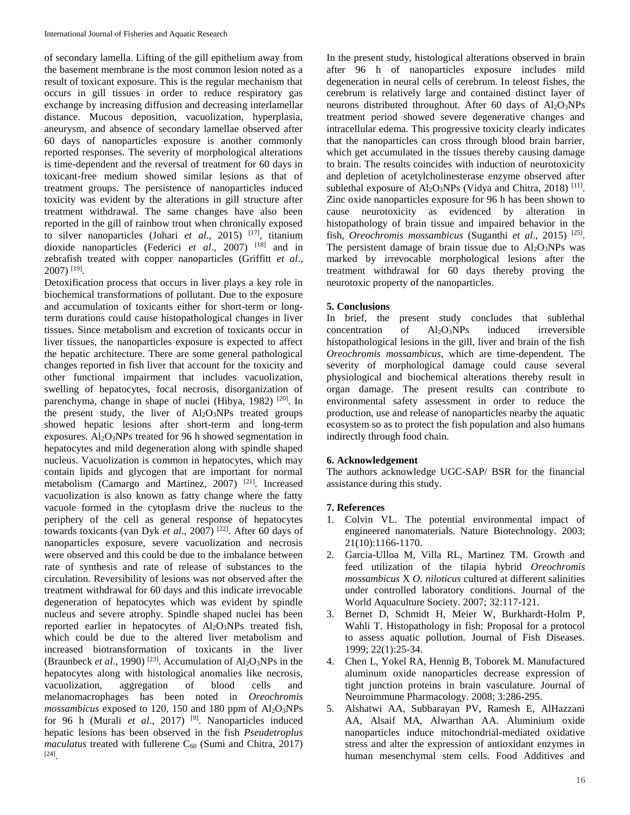of secondary lamella. Lifting of the gill epithelium away from the basement membrane is the most common lesion noted as a result of toxicant exposure. This is the regular mechanism that occurs in gill tissues in order to reduce respiratory gas exchange by increasing diffusion and decreasing interlamellar distance. Mucous deposition, vacuolization, hyperplasia, aneurysm, and absence of secondary lamellae observed after 60 days of nanoparticles exposure is another commonly reported responses. The severity of morphological alterations is time-dependent and the reversal of treatment for 60 days in toxicant-free medium showed similar lesions as that of treatment groups. The persistence of nanoparticles induced toxicity was evident by the alterations in gill structure after treatment withdrawal. The same changes have also been reported in the gill of rainbow trout when chronically exposed to silver nanoparticles (Johari *et al*., 2015) [17], titanium dioxide nanoparticles (Federici *et al*., 2007) [18] and in zebrafish treated with copper nanoparticles (Griffitt *et al*., 2007) [19] .

Detoxification process that occurs in liver plays a key role in biochemical transformations of pollutant. Due to the exposure and accumulation of toxicants either for short-term or longterm durations could cause histopathological changes in liver tissues. Since metabolism and excretion of toxicants occur in liver tissues, the nanoparticles exposure is expected to affect the hepatic architecture. There are some general pathological changes reported in fish liver that account for the toxicity and other functional impairment that includes vacuolization, swelling of hepatocytes, focal necrosis, disorganization of parenchyma, change in shape of nuclei (Hibya, 1982)<sup>[20]</sup>. In the present study, the liver of  $Al_2O_3NPs$  treated groups showed hepatic lesions after short-term and long-term exposures.  $Al_2O_3NPs$  treated for 96 h showed segmentation in hepatocytes and mild degeneration along with spindle shaped nucleus. Vacuolization is common in hepatocytes, which may contain lipids and glycogen that are important for normal metabolism (Camargo and Martinez, 2007) [21]. Increased vacuolization is also known as fatty change where the fatty vacuole formed in the cytoplasm drive the nucleus to the periphery of the cell as general response of hepatocytes towards toxicants (van Dyk et al., 2007)<sup>[22]</sup>. After 60 days of nanoparticles exposure, severe vacuolization and necrosis were observed and this could be due to the imbalance between rate of synthesis and rate of release of substances to the circulation. Reversibility of lesions was not observed after the treatment withdrawal for 60 days and this indicate irrevocable degeneration of hepatocytes which was evident by spindle nucleus and severe atrophy. Spindle shaped nuclei has been reported earlier in hepatocytes of Al<sub>2</sub>O<sub>3</sub>NPs treated fish, which could be due to the altered liver metabolism and increased biotransformation of toxicants in the liver (Braunbeck *et al.*, 1990)<sup>[23]</sup>. Accumulation of  $Al_2O_3NPs$  in the hepatocytes along with histological anomalies like necrosis,<br>vacuolization, aggregation of blood cells and vacuolization, aggregation of blood cells and melanomacrophages has been noted in *Oreochromis mossambicus* exposed to 120, 150 and 180 ppm of  $Al_2O_3NPs$ for 96 h (Murali et al., 2017)<sup>[9]</sup>. Nanoparticles induced hepatic lesions has been observed in the fish *Pseudetroplus*  $maculatus$  treated with fullerene  $C_{60}$  (Sumi and Chitra, 2017) [24] .

In the present study, histological alterations observed in brain after 96 h of nanoparticles exposure includes mild degeneration in neural cells of cerebrum. In teleost fishes, the cerebrum is relatively large and contained distinct layer of neurons distributed throughout. After 60 days of  $Al_2O_3NPs$ treatment period showed severe degenerative changes and intracellular edema. This progressive toxicity clearly indicates that the nanoparticles can cross through blood brain barrier, which get accumulated in the tissues thereby causing damage to brain. The results coincides with induction of neurotoxicity and depletion of acetylcholinesterase enzyme observed after sublethal exposure of  $Al_2O_3NPs$  (Vidya and Chitra, 2018) [11]. Zinc oxide nanoparticles exposure for 96 h has been shown to cause neurotoxicity as evidenced by alteration in histopathology of brain tissue and impaired behavior in the fish, *Oreochromis mossambicus* (Suganthi *et al*., 2015) [25] . The persistent damage of brain tissue due to  $Al_2O_3NPs$  was marked by irrevocable morphological lesions after the treatment withdrawal for 60 days thereby proving the neurotoxic property of the nanoparticles.

## **5. Conclusions**

In brief, the present study concludes that sublethal concentration of  $Al_2O_3NP_s$  induced irreversible histopathological lesions in the gill, liver and brain of the fish *Oreochromis mossambicus*, which are time-dependent. The severity of morphological damage could cause several physiological and biochemical alterations thereby result in organ damage. The present results can contribute to environmental safety assessment in order to reduce the production, use and release of nanoparticles nearby the aquatic ecosystem so as to protect the fish population and also humans indirectly through food chain.

## **6. Acknowledgement**

The authors acknowledge UGC-SAP/ BSR for the financial assistance during this study.

## **7. References**

- 1. Colvin VL. The potential environmental impact of engineered nanomaterials. Nature Biotechnology. 2003; 21(10):1166-1170.
- 2. Garcia-Ulloa M, Villa RL, Martinez TM. Growth and feed utilization of the tilapia hybrid *Oreochromis mossambicus* X *O. niloticus* cultured at different salinities under controlled laboratory conditions. Journal of the World Aquaculture Society. 2007; 32:117-121.
- 3. Bernet D, Schmidt H, Meier W, Burkhardt-Holm P, Wahli T. Histopathology in fish: Proposal for a protocol to assess aquatic pollution. Journal of Fish Diseases. 1999; 22(1):25-34.
- 4. Chen L, Yokel RA, Hennig B, Toborek M. Manufactured aluminum oxide nanoparticles decrease expression of tight junction proteins in brain vasculature. Journal of Neuroimmune Pharmacology. 2008; 3:286-295.
- 5. Alshatwi AA, Subbarayan PV, Ramesh E, AlHazzani AA, Alsaif MA, Alwarthan AA. Aluminium oxide nanoparticles induce mitochondrial-mediated oxidative stress and alter the expression of antioxidant enzymes in human mesenchymal stem cells. Food Additives and